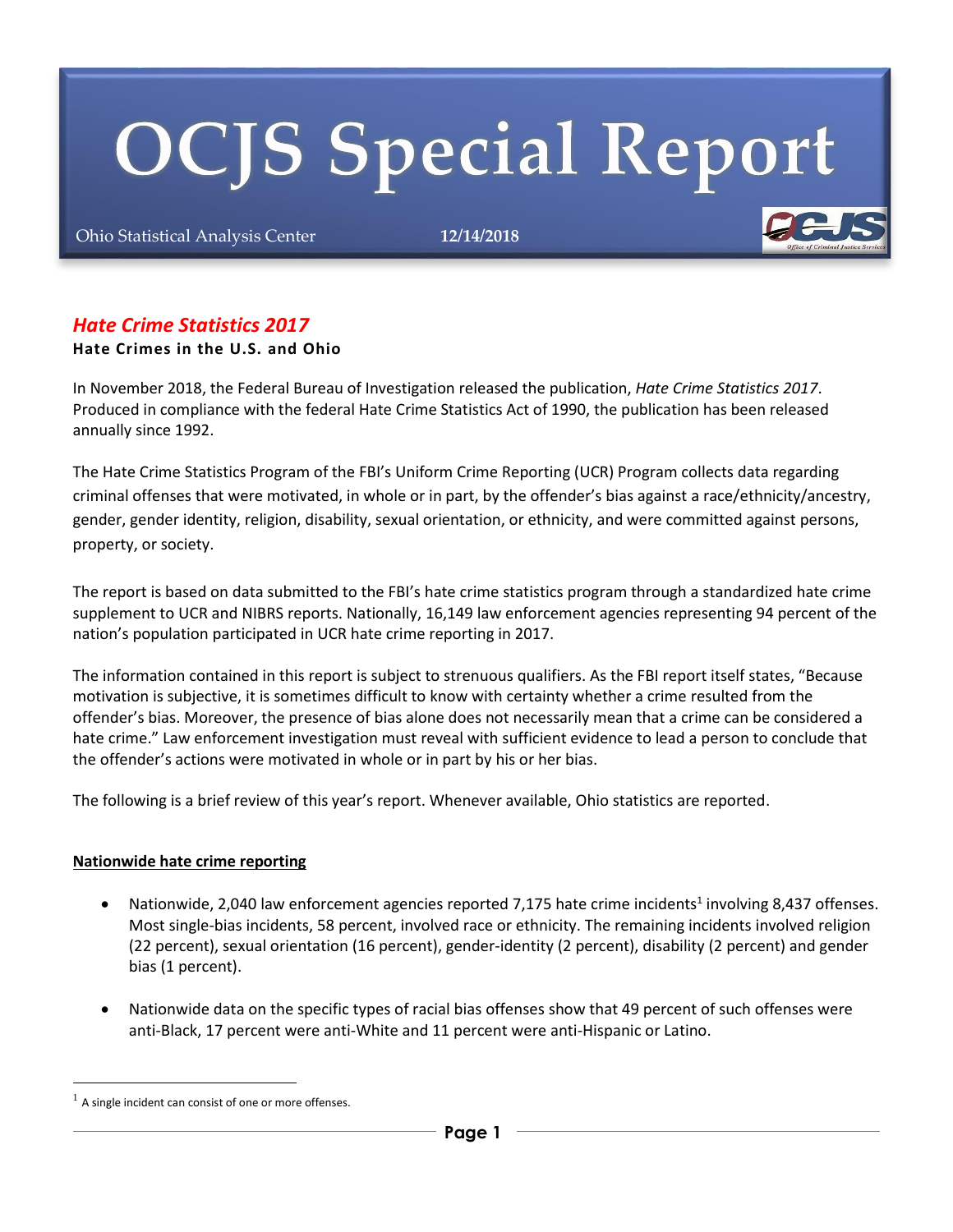# **OCJS Special Report**

Ohio Statistical Analysis Center **12/14/2018**

# *Hate Crime Statistics 2017*

# **Hate Crimes in the U.S. and Ohio**

In November 2018, the Federal Bureau of Investigation released the publication, *Hate Crime Statistics 2017*. Produced in compliance with the federal Hate Crime Statistics Act of 1990, the publication has been released annually since 1992.

The Hate Crime Statistics Program of the FBI's Uniform Crime Reporting (UCR) Program collects data regarding criminal offenses that were motivated, in whole or in part, by the offender's bias against a race/ethnicity/ancestry, gender, gender identity, religion, disability, sexual orientation, or ethnicity, and were committed against persons, property, or society.

The report is based on data submitted to the FBI's hate crime statistics program through a standardized hate crime supplement to UCR and NIBRS reports. Nationally, 16,149 law enforcement agencies representing 94 percent of the nation's population participated in UCR hate crime reporting in 2017.

The information contained in this report is subject to strenuous qualifiers. As the FBI report itself states, "Because motivation is subjective, it is sometimes difficult to know with certainty whether a crime resulted from the offender's bias. Moreover, the presence of bias alone does not necessarily mean that a crime can be considered a hate crime." Law enforcement investigation must reveal with sufficient evidence to lead a person to conclude that the offender's actions were motivated in whole or in part by his or her bias.

The following is a brief review of this year's report. Whenever available, Ohio statistics are reported.

#### **Nationwide hate crime reporting**

- Nationwide, 2,040 law enforcement agencies reported 7,175 hate crime incidents<sup>1</sup> involving 8,437 offenses. Most single-bias incidents, 58 percent, involved race or ethnicity. The remaining incidents involved religion (22 percent), sexual orientation (16 percent), gender-identity (2 percent), disability (2 percent) and gender bias (1 percent).
- Nationwide data on the specific types of racial bias offenses show that 49 percent of such offenses were anti-Black, 17 percent were anti-White and 11 percent were anti-Hispanic or Latino.

-

 $<sup>1</sup>$  A single incident can consist of one or more offenses.</sup>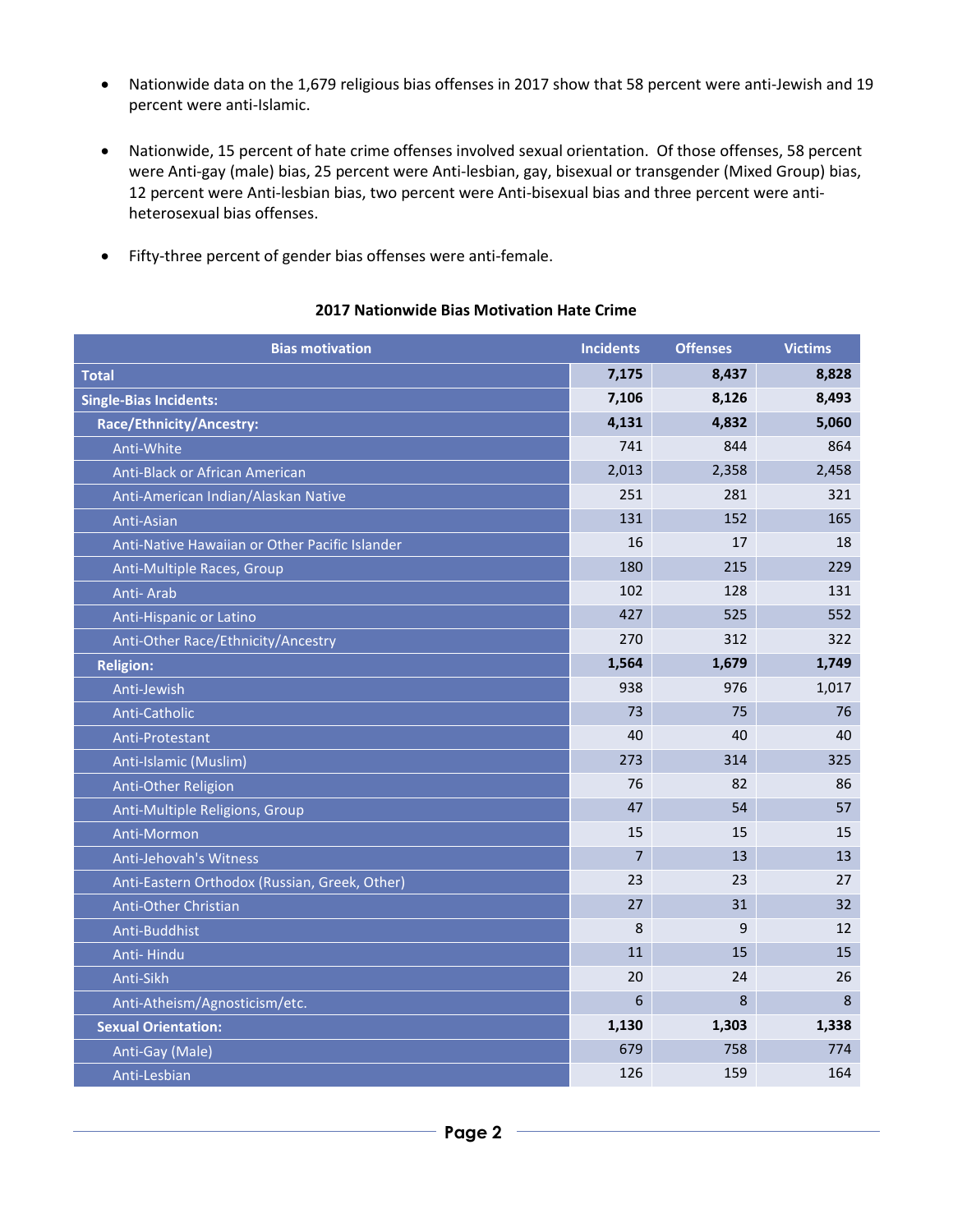- Nationwide data on the 1,679 religious bias offenses in 2017 show that 58 percent were anti-Jewish and 19 percent were anti-Islamic.
- Nationwide, 15 percent of hate crime offenses involved sexual orientation. Of those offenses, 58 percent were Anti-gay (male) bias, 25 percent were Anti-lesbian, gay, bisexual or transgender (Mixed Group) bias, 12 percent were Anti-lesbian bias, two percent were Anti-bisexual bias and three percent were antiheterosexual bias offenses.
- Fifty-three percent of gender bias offenses were anti-female.

# **2017 Nationwide Bias Motivation Hate Crime**

| <b>Bias motivation</b>                         | <b>Incidents</b> | <b>Offenses</b> | <b>Victims</b> |
|------------------------------------------------|------------------|-----------------|----------------|
| <b>Total</b>                                   | 7,175            | 8,437           | 8,828          |
| <b>Single-Bias Incidents:</b>                  | 7,106            | 8,126           | 8,493          |
| Race/Ethnicity/Ancestry:                       | 4,131            | 4,832           | 5,060          |
| Anti-White                                     | 741              | 844             | 864            |
| Anti-Black or African American                 | 2,013            | 2,358           | 2,458          |
| Anti-American Indian/Alaskan Native            | 251              | 281             | 321            |
| Anti-Asian                                     | 131              | 152             | 165            |
| Anti-Native Hawaiian or Other Pacific Islander | 16               | 17              | 18             |
| Anti-Multiple Races, Group                     | 180              | 215             | 229            |
| Anti-Arab                                      | 102              | 128             | 131            |
| Anti-Hispanic or Latino                        | 427              | 525             | 552            |
| Anti-Other Race/Ethnicity/Ancestry             | 270              | 312             | 322            |
| <b>Religion:</b>                               | 1,564            | 1,679           | 1,749          |
| Anti-Jewish                                    | 938              | 976             | 1,017          |
| Anti-Catholic                                  | 73               | 75              | 76             |
| Anti-Protestant                                | 40               | 40              | 40             |
| Anti-Islamic (Muslim)                          | 273              | 314             | 325            |
| Anti-Other Religion                            | 76               | 82              | 86             |
| Anti-Multiple Religions, Group                 | 47               | 54              | 57             |
| Anti-Mormon                                    | 15               | 15              | 15             |
| Anti-Jehovah's Witness                         | $\overline{7}$   | 13              | 13             |
| Anti-Eastern Orthodox (Russian, Greek, Other)  | 23               | 23              | 27             |
| Anti-Other Christian                           | 27               | 31              | 32             |
| Anti-Buddhist                                  | 8                | 9               | 12             |
| Anti-Hindu                                     | 11               | 15              | 15             |
| Anti-Sikh                                      | 20               | 24              | 26             |
| Anti-Atheism/Agnosticism/etc.                  | 6                | 8               | 8              |
| <b>Sexual Orientation:</b>                     | 1,130            | 1,303           | 1,338          |
| Anti-Gay (Male)                                | 679              | 758             | 774            |
| Anti-Lesbian                                   | 126              | 159             | 164            |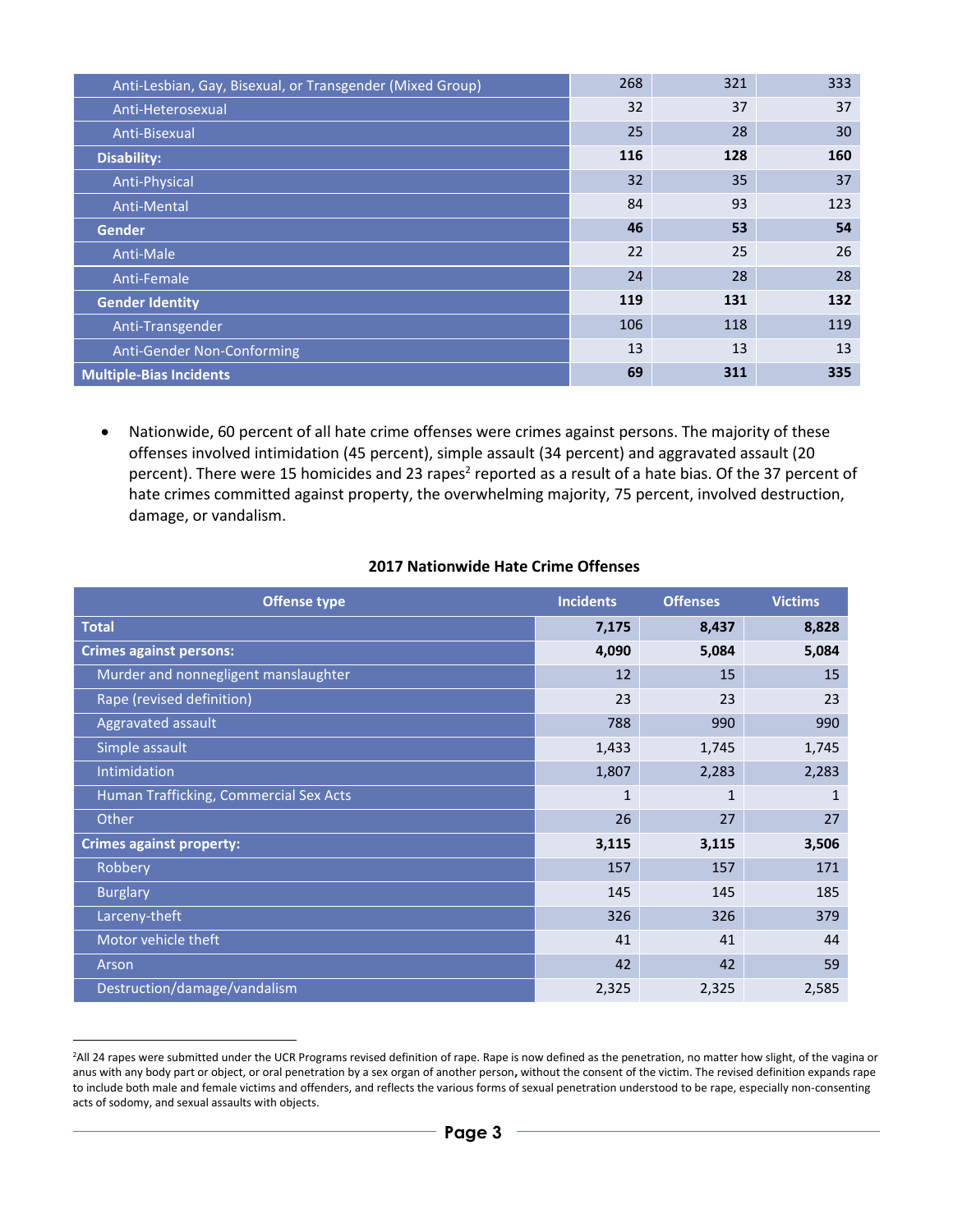| Anti-Lesbian, Gay, Bisexual, or Transgender (Mixed Group) | 268 | 321 | 333 |
|-----------------------------------------------------------|-----|-----|-----|
| Anti-Heterosexual                                         | 32  | 37  | 37  |
| Anti-Bisexual                                             | 25  | 28  | 30  |
| <b>Disability:</b>                                        | 116 | 128 | 160 |
| Anti-Physical                                             | 32  | 35  | 37  |
| <b>Anti-Mental</b>                                        | 84  | 93  | 123 |
| <b>Gender</b>                                             | 46  | 53  | 54  |
| Anti-Male                                                 | 22  | 25  | 26  |
| Anti-Female                                               | 24  | 28  | 28  |
| <b>Gender Identity</b>                                    | 119 | 131 | 132 |
| Anti-Transgender                                          | 106 | 118 | 119 |
| Anti-Gender Non-Conforming                                | 13  | 13  | 13  |
| <b>Multiple-Bias Incidents</b>                            | 69  | 311 | 335 |

 Nationwide, 60 percent of all hate crime offenses were crimes against persons. The majority of these offenses involved intimidation (45 percent), simple assault (34 percent) and aggravated assault (20 percent). There were 15 homicides and 23 rapes<sup>2</sup> reported as a result of a hate bias. Of the 37 percent of hate crimes committed against property, the overwhelming majority, 75 percent, involved destruction, damage, or vandalism.

| <b>Offense type</b>                    | <b>Incidents</b> | <b>Offenses</b> | <b>Victims</b> |
|----------------------------------------|------------------|-----------------|----------------|
| <b>Total</b>                           | 7,175            | 8,437           | 8,828          |
| <b>Crimes against persons:</b>         | 4,090            | 5,084           | 5,084          |
| Murder and nonnegligent manslaughter   | 12               | 15              | 15             |
| Rape (revised definition)              | 23               | 23              | 23             |
| Aggravated assault                     | 788              | 990             | 990            |
| Simple assault                         | 1,433            | 1,745           | 1,745          |
| Intimidation                           | 1,807            | 2,283           | 2,283          |
| Human Trafficking, Commercial Sex Acts | $\mathbf{1}$     | $\mathbf{1}$    | $\mathbf{1}$   |
| Other                                  | 26               | 27              | 27             |
| <b>Crimes against property:</b>        | 3,115            | 3,115           | 3,506          |
| Robbery                                | 157              | 157             | 171            |
| <b>Burglary</b>                        | 145              | 145             | 185            |
| Larceny-theft                          | 326              | 326             | 379            |
| Motor vehicle theft                    | 41               | 41              | 44             |
| Arson                                  | 42               | 42              | 59             |
| Destruction/damage/vandalism           | 2,325            | 2,325           | 2,585          |

#### **2017 Nationwide Hate Crime Offenses**

-

<sup>&</sup>lt;sup>2</sup>All 24 rapes were submitted under the UCR Programs revised definition of rape. Rape is now defined as the penetration, no matter how slight, of the vagina or anus with any body part or object, or oral penetration by a sex organ of another person**,** without the consent of the victim. The revised definition expands rape to include both male and female victims and offenders, and reflects the various forms of sexual penetration understood to be rape, especially non-consenting acts of sodomy, and sexual assaults with objects.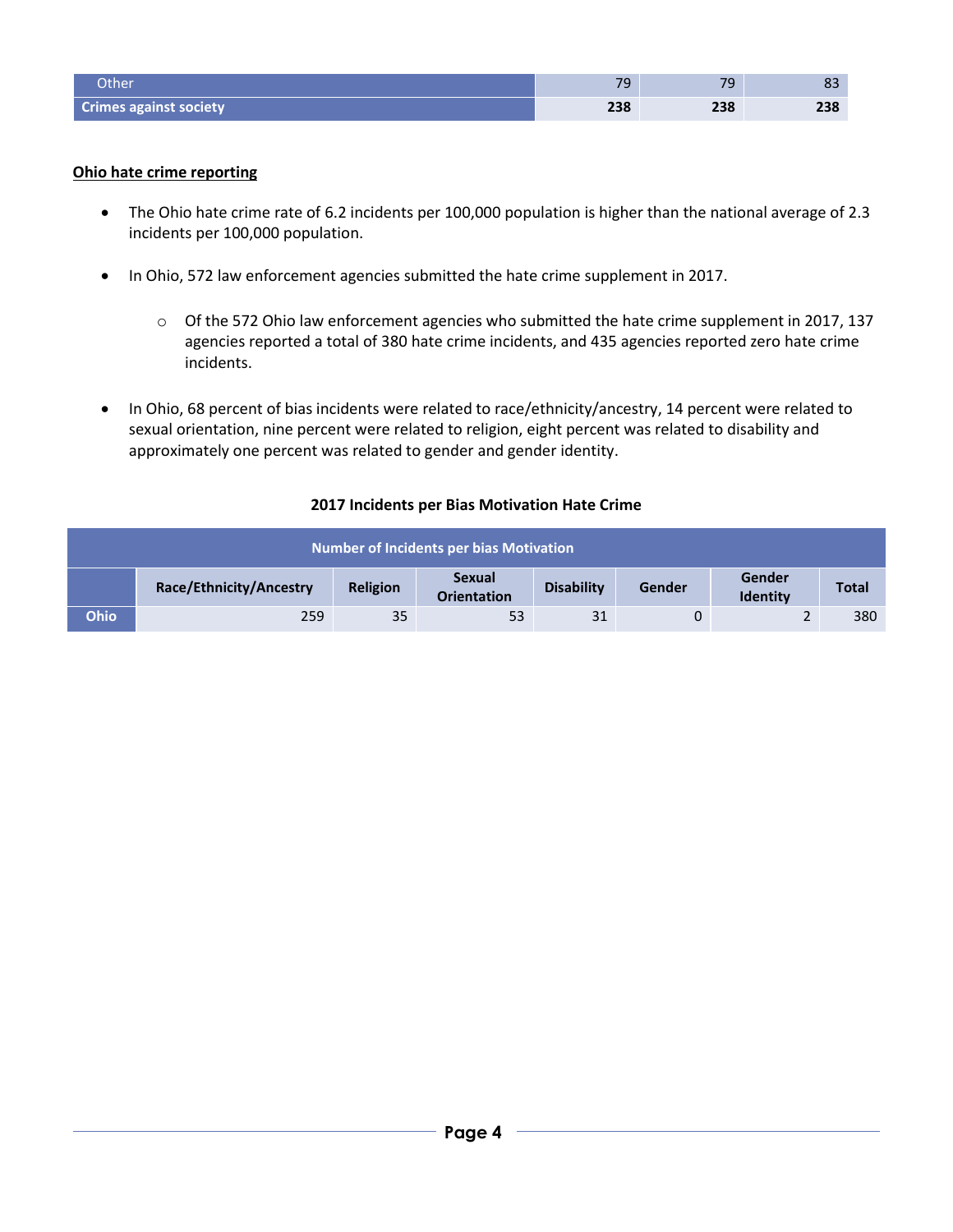| Other                         | $\neg$ | 70          | ൦           |
|-------------------------------|--------|-------------|-------------|
| <b>Crimes against society</b> | 238    | 0 רר<br>230 | 0 רר<br>290 |

### **Ohio hate crime reporting**

- The Ohio hate crime rate of 6.2 incidents per 100,000 population is higher than the national average of 2.3 incidents per 100,000 population.
- In Ohio, 572 law enforcement agencies submitted the hate crime supplement in 2017.
	- o Of the 572 Ohio law enforcement agencies who submitted the hate crime supplement in 2017, 137 agencies reported a total of 380 hate crime incidents, and 435 agencies reported zero hate crime incidents.
- In Ohio, 68 percent of bias incidents were related to race/ethnicity/ancestry, 14 percent were related to sexual orientation, nine percent were related to religion, eight percent was related to disability and approximately one percent was related to gender and gender identity.

# **2017 Incidents per Bias Motivation Hate Crime**

| Number of Incidents per bias Motivation |                         |                 |                                     |                   |        |                           |              |
|-----------------------------------------|-------------------------|-----------------|-------------------------------------|-------------------|--------|---------------------------|--------------|
|                                         | Race/Ethnicity/Ancestry | <b>Religion</b> | <b>Sexual</b><br><b>Orientation</b> | <b>Disability</b> | Gender | Gender<br><b>Identity</b> | <b>Total</b> |
| Ohio.                                   | 259                     | 35              | 53                                  | 31                |        |                           | 380          |